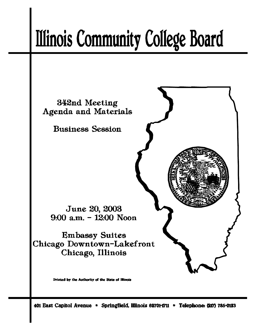# **Illinois Community College Board**



401 East Capitol Avenue \* Springfield, Illinois 62701-1711 \* Telephone: (217) 785-0123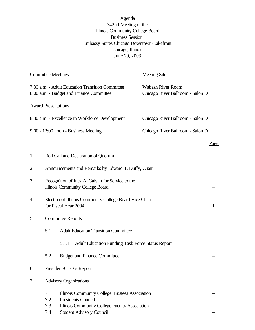Agenda 342nd Meeting of the Illinois Community College Board Business Session Embassy Suites Chicago Downtown-Lakefront Chicago, Illinois June 20, 2003

|    | <b>Committee Meetings</b>                                                                   |                                                                                              | <b>Meeting Site</b>                                          |              |  |
|----|---------------------------------------------------------------------------------------------|----------------------------------------------------------------------------------------------|--------------------------------------------------------------|--------------|--|
|    |                                                                                             | 7:30 a.m. - Adult Education Transition Committee<br>8:00 a.m. - Budget and Finance Committee | <b>Wabash River Room</b><br>Chicago River Ballroom - Salon D |              |  |
|    | <b>Award Presentations</b>                                                                  |                                                                                              |                                                              |              |  |
|    |                                                                                             | 8:30 a.m. - Excellence in Workforce Development                                              | Chicago River Ballroom - Salon D                             |              |  |
|    |                                                                                             | $9:00 - 12:00$ noon - Business Meeting                                                       | Chicago River Ballroom - Salon D                             |              |  |
|    |                                                                                             |                                                                                              |                                                              | <u>Page</u>  |  |
| 1. |                                                                                             | Roll Call and Declaration of Quorum                                                          |                                                              |              |  |
| 2. | Announcements and Remarks by Edward T. Duffy, Chair                                         |                                                                                              |                                                              |              |  |
| 3. | Recognition of Inez A. Galvan for Service to the<br><b>Illinois Community College Board</b> |                                                                                              |                                                              |              |  |
| 4. | Election of Illinois Community College Board Vice Chair<br>for Fiscal Year 2004             |                                                                                              |                                                              | $\mathbf{1}$ |  |
| 5. |                                                                                             | <b>Committee Reports</b>                                                                     |                                                              |              |  |
|    | 5.1                                                                                         | <b>Adult Education Transition Committee</b>                                                  |                                                              |              |  |
|    |                                                                                             | <b>Adult Education Funding Task Force Status Report</b><br>5.1.1                             |                                                              |              |  |
|    | 5.2                                                                                         | <b>Budget and Finance Committee</b>                                                          |                                                              |              |  |
| 6. |                                                                                             | President/CEO's Report                                                                       |                                                              |              |  |
| 7. | <b>Advisory Organizations</b>                                                               |                                                                                              |                                                              |              |  |
|    | 7.1<br>7.2                                                                                  | Illinois Community College Trustees Association<br><b>Presidents Council</b>                 |                                                              |              |  |
|    | Illinois Community College Faculty Association<br>7.3                                       |                                                                                              |                                                              |              |  |
|    | 7.4                                                                                         | <b>Student Advisory Council</b>                                                              |                                                              |              |  |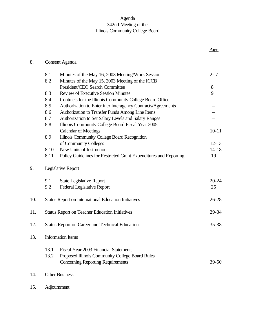# Agenda 342nd Meeting of the Illinois Community College Board

Page

# 8. Consent Agenda

|     | 8.1                      | Minutes of the May 16, 2003 Meeting/Work Session                  |           |  |  |
|-----|--------------------------|-------------------------------------------------------------------|-----------|--|--|
| 8.2 |                          | Minutes of the May 15, 2003 Meeting of the ICCB                   |           |  |  |
|     |                          | President/CEO Search Committee                                    | 8         |  |  |
|     | 8.3                      | <b>Review of Executive Session Minutes</b>                        | 9         |  |  |
|     | 8.4                      | Contracts for the Illinois Community College Board Office         |           |  |  |
|     | 8.5                      | Authorization to Enter into Interagency Contracts/Agreements      |           |  |  |
|     | 8.6                      | Authorization to Transfer Funds Among Line Items                  |           |  |  |
|     | 8.7                      | Authorization to Set Salary Levels and Salary Ranges              |           |  |  |
|     | 8.8                      | Illinois Community College Board Fiscal Year 2005                 |           |  |  |
|     |                          | <b>Calendar of Meetings</b>                                       | $10 - 11$ |  |  |
|     | 8.9                      | Illinois Community College Board Recognition                      |           |  |  |
|     |                          | of Community Colleges                                             | $12 - 13$ |  |  |
|     | 8.10                     | New Units of Instruction                                          | $14 - 18$ |  |  |
|     | 8.11                     | Policy Guidelines for Restricted Grant Expenditures and Reporting | 19        |  |  |
| 9.  |                          | Legislative Report                                                |           |  |  |
|     | 9.1                      | <b>State Legislative Report</b>                                   | $20 - 24$ |  |  |
|     | 9.2                      | <b>Federal Legislative Report</b>                                 | 25        |  |  |
| 10. |                          | <b>Status Report on International Education Initiatives</b>       | $26 - 28$ |  |  |
| 11. |                          | <b>Status Report on Teacher Education Initiatives</b>             | 29-34     |  |  |
| 12. |                          | 35-38<br><b>Status Report on Career and Technical Education</b>   |           |  |  |
| 13. | <b>Information Items</b> |                                                                   |           |  |  |
|     | 13.1                     | Fiscal Year 2003 Financial Statements                             |           |  |  |
|     | 13.2                     | Proposed Illinois Community College Board Rules                   |           |  |  |
|     |                          | <b>Concerning Reporting Requirements</b>                          | $39 - 50$ |  |  |
| 14. | <b>Other Business</b>    |                                                                   |           |  |  |

15. Adjournment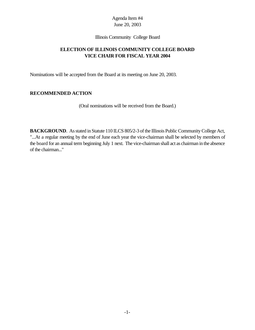Illinois Community College Board

# **ELECTION OF ILLINOIS COMMUNITY COLLEGE BOARD VICE CHAIR FOR FISCAL YEAR 2004**

Nominations will be accepted from the Board at its meeting on June 20, 2003.

## **RECOMMENDED ACTION**

(Oral nominations will be received from the Board.)

**BACKGROUND**. As stated in Statute 110 ILCS 805/2-3 of the Illinois Public Community College Act, "...At a regular meeting by the end of June each year the vice-chairman shall be selected by members of the board for an annual term beginning July 1 next. The vice-chairman shall act as chairman in the absence of the chairman..."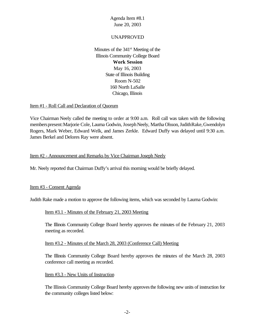## UNAPPROVED

Minutes of the  $341<sup>st</sup>$  Meeting of the Illinois Community College Board **Work Session** May 16, 2003 State of Illinois Building Room N-502 160 North LaSalle Chicago, Illinois

#### Item #1 - Roll Call and Declaration of Quorum

Vice Chairman Neely called the meeting to order at 9:00 a.m. Roll call was taken with the following members present: Marjorie Cole, Laurna Godwin, Joseph Neely, Martha Olsson, JudithRake, Gwendolyn Rogers, Mark Weber, Edward Welk, and James Zerkle. Edward Duffy was delayed until 9:30 a.m. James Berkel and Delores Ray were absent.

## Item #2 - Announcement and Remarks by Vice Chairman Joseph Neely

Mr. Neely reported that Chairman Duffy's arrival this morning would be briefly delayed.

#### Item #3 - Consent Agenda

Judith Rake made a motion to approve the following items, which was seconded by Laurna Godwin:

#### Item #3.1 - Minutes of the February 21, 2003 Meeting

The Illinois Community College Board hereby approves the minutes of the February 21, 2003 meeting as recorded.

#### Item #3.2 - Minutes of the March 28, 2003 (Conference Call) Meeting

The Illinois Community College Board hereby approves the minutes of the March 28, 2003 conference call meeting as recorded.

#### Item #3.3 - New Units of Instruction

The Illinois Community College Board hereby approves the following new units of instruction for the community colleges listed below: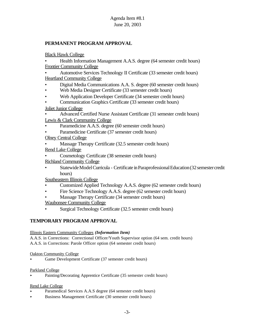## **PERMANENT PROGRAM APPROVAL**

Black Hawk College

• Health Information Management A.A.S. degree (64 semester credit hours) Frontier Community College

• Automotive Services Technology II Certificate (33 semester credit hours) Heartland Community College

- Digital Media Communications A.A. S. degree (60 semester credit hours)
- Web Media Designer Certificate (33 semester credit hours)
- Web Application Developer Certificate (34 semester credit hours)
- Communication Graphics Certificate (33 semester credit hours)

Joliet Junior College

• Advanced Certified Nurse Assistant Certificate (31 semester credit hours)

Lewis & Clark Community College

- Paramedicine A.A.S. degree (60 semester credit hours)
- Paramedicine Certificate (37 semester credit hours)
- Olney Central College
- Massage Therapy Certificate (32.5 semester credit hours)
- Rend Lake College
- Cosmetology Certificate (38 semester credit hours) Richland Community College
- Statewide Model Curricula Certificate in Paraprofessional Education (32 semester credit hours)

Southeastern Illinois College

- Customized Applied Technology A.A.S. degree (62 semester credit hours)
- Fire Science Technology A.A.S. degree (62 semester credit hours)
- Massage Therapy Certificate (34 semester credit hours)

Waubonsee Community College

• Surgical Technology Certificate (32.5 semester credit hours)

## **TEMPORARY PROGRAM APPROVAL**

## Illinois Eastern Community Colleges *(Information Item)*

A.A.S. in Corrections: Correctional Officer/Youth Supervisor option (64 sem. credit hours) A.A.S. in Corrections: Parole Officer option (64 semester credit hours)

#### Oakton Community College

< Game Development Certificate (37 semester credit hours)

## Parkland College

< Painting/Decorating Apprentice Certificate (35 semester credit hours)

## Rend Lake College

- Paramedical Services A.A.S degree (64 semester credit hours)
- < Business Management Certificate (30 semester credit hours)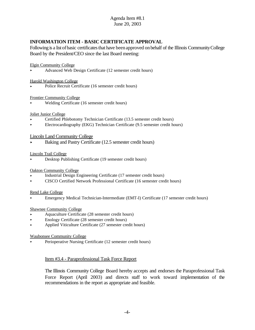## **INFORMATION ITEM - BASIC CERTIFICATE APPROVAL**

Following is a list of basic certificates that have been approved on behalf of the Illinois Community College Board by the President/CEO since the last Board meeting:

#### Elgin Community College

< Advanced Web Design Certificate (12 semester credit hours)

#### Harold Washington College

Police Recruit Certificate (16 semester credit hours)

#### Frontier Community College

< Welding Certificate (16 semester credit hours)

#### Joliet Junior College

- < Certified Phlebotomy Technician Certificate (13.5 semester credit hours)
- < Electrocardiography (EKG) Technician Certificate (9.5 semester credit hours)

#### Lincoln Land Community College

< Baking and Pastry Certificate (12.5 semester credit hours)

#### Lincoln Trail College

< Desktop Publishing Certificate (19 semester credit hours)

#### Oakton Community College

- < Industrial Design Engineering Certificate (17 semester credit hours)
- < CISCO Certified Network Professional Certificate (16 semester credit hours)

#### Rend Lake College

< Emergency Medical Technician-Intermediate (EMT-I) Certificate (17 semester credit hours)

#### Shawnee Community College

- Aquaculture Certificate (28 semester credit hours)
- < Enology Certificate (28 semester credit hours)
- Applied Viticulture Certificate (27 semester credit hours)

#### Waubonsee Community College

< Perioperative Nursing Certificate (12 semester credit hours)

#### Item #3.4 - Paraprofessional Task Force Report

The Illinois Community College Board hereby accepts and endorses the Paraprofessional Task Force Report (April 2003) and directs staff to work toward implementation of the recommendations in the report as appropriate and feasible.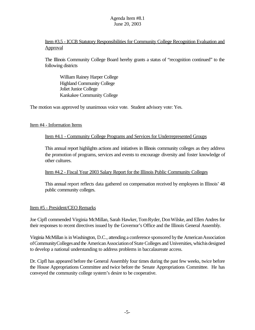## Item #3.5 - ICCB Statutory Responsibilities for Community College Recognition Evaluation and **Approval**

The Illinois Community College Board hereby grants a status of "recognition continued" to the following districts

William Rainey Harper College Highland Community College Joliet Junior College Kankakee Community College

The motion was approved by unanimous voice vote. Student advisory vote: Yes.

#### Item #4 - Information Items

## Item #4.1 - Community College Programs and Services for Underrepresented Groups

This annual report highlights actions and initiatives in Illinois community colleges as they address the promotion of programs, services and events to encourage diversity and foster knowledge of other cultures.

#### Item #4.2 - Fiscal Year 2003 Salary Report for the Illinois Public Community Colleges

This annual report reflects data gathered on compensation received by employees in Illinois' 48 public community colleges.

#### Item #5 - President/CEO Remarks

Joe Cipfl commended Virginia McMillan, Sarah Hawker, TomRyder, DonWilske, and Ellen Andres for their responses to recent directives issued by the Governor's Office and the Illinois General Assembly.

Virginia McMillan is in Washington, D.C., attending a conference sponsored by the American Association ofCommunityCollegesand the AmericanAssociationofState Colleges and Universities, whichisdesigned to develop a national understanding to address problems in baccalaureate access.

Dr. Cipfl has appeared before the General Assembly four times during the past few weeks, twice before the House Appropriations Committee and twice before the Senate Appropriations Committee. He has conveyed the community college system's desire to be cooperative.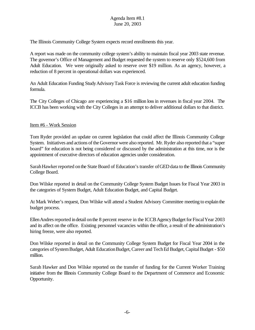The Illinois Community College System expects record enrollments this year.

A report was made on the community college system's ability to maintain fiscal year 2003 state revenue. The governor's Office of Management and Budget requested the system to reserve only \$524,600 from Adult Education. We were originally asked to reserve over \$19 million. As an agency, however, a reduction of 8 percent in operational dollars was experienced.

An Adult Education Funding StudyAdvisoryTask Force is reviewing the current adult education funding formula.

The City Colleges of Chicago are experiencing a \$16 million loss in revenues in fiscal year 2004. The ICCB has been working with the City Colleges in an attempt to deliver additional dollars to that district.

## Item #6 - Work Session

Tom Ryder provided an update on current legislation that could affect the Illinois Community College System. Initiatives and actions of the Governor were also reported. Mr. Ryder also reported that a "super board" for education is not being considered or discussed by the administration at this time, nor is the appointment of executive directors of education agencies under consideration.

Sarah Hawker reported on the State Board of Education's transfer of GED data to the Illinois Community College Board.

Don Wilske reported in detail on the Community College System Budget Issues for Fiscal Year 2003 in the categories of System Budget, Adult Education Budget, and Capital Budget.

At Mark Weber's request, Don Wilske will attend a Student Advisory Committee meeting to explain the budget process.

Ellen Andres reported in detail on the 8 percent reserve in the ICCB Agency Budget for Fiscal Year 2003 and its affect on the office. Existing personnel vacancies within the office, a result of the administration's hiring freeze, were also reported.

Don Wilske reported in detail on the Community College System Budget for Fiscal Year 2004 in the categories of System Budget, Adult Education Budget, Career and Tech Ed Budget, Capital Budget - \$50 million.

Sarah Hawker and Don Wilske reported on the transfer of funding for the Current Worker Training initiative from the Illinois Community College Board to the Department of Commerce and Economic Opportunity.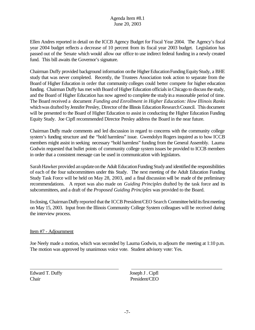Ellen Andres reported in detail on the ICCB Agency Budget for Fiscal Year 2004. The Agency's fiscal year 2004 budget reflects a decrease of 10 percent from its fiscal year 2003 budget. Legislation has passed out of the Senate which would allow our office to use indirect federal funding in a newly created fund. This bill awaits the Governor's signature.

Chairman Duffy provided background information on the Higher Education Funding Equity Study, a BHE study that was never completed. Recently, the Trustees Association took action to separate from the Board of Higher Education in order that community colleges could better compete for higher education funding. Chairman Duffy has met with Board of Higher Education officials in Chicago to discuss the study, and the Board of Higher Education has now agreed to complete the studyina reasonable period of time. The Board received a document *Funding and Enrollment in Higher Education: How Illinois Ranks* which was drafted by Jennifer Presley, Director of the Illinois Education Research Council. This document will be presented to the Board of Higher Education to assist in conducting the Higher Education Funding Equity Study. Joe Cipfl recommended Director Presley address the Board in the near future.

Chairman Duffy made comments and led discussion in regard to concerns with the community college system's funding structure and the "hold harmless" issue. Gwendolyn Rogers inquired as to how ICCB members might assist in seeking necessary "hold harmless" funding from the General Assembly. Laurna Godwin requested that bullet points of community college system issues be provided to ICCB members in order that a consistent message can be used in communication with legislators.

Sarah Hawker provided an update on the Adult Education Funding Study and identified the responsibilities of each of the four subcommittees under this Study. The next meeting of the Adult Education Funding Study Task Force will be held on May 28, 2003, and a final discussion will be made of the preliminary recommendations. A report was also made on *Guiding Principles* drafted by the task force and its subcommittees, and a draft of the *Proposed Guiding Principles* was provided to the Board.

Inclosing, Chairman Duffy reported that the ICCB President/CEO Search Committee held its first meeting on May 15, 2003. Input from the Illinois Community College System colleagues will be received during the interview process.

## Item #7 - Adjournment

Joe Neely made a motion, which was seconded by Laurna Godwin, to adjourn the meeting at 1:10 p.m. The motion was approved by unanimous voice vote. Student advisory vote: Yes.

Edward T. Duffy Joseph J . Cipfl Chair President/CEO

 $\overline{a}$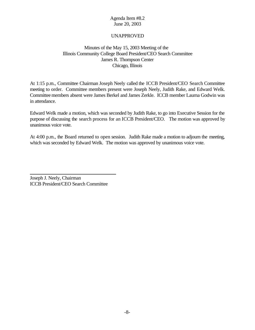## UNAPPROVED

## Minutes of the May 15, 2003 Meeting of the Illinois Community College Board President/CEO Search Committee James R. Thompson Center Chicago, Illinois

At 1:15 p.m., Committee Chairman Joseph Neely called the ICCB President/CEO Search Committee meeting to order. Committee members present were Joseph Neely, Judith Rake, and Edward Welk. Committeemembers absent were James Berkel and James Zerkle. ICCB member Laurna Godwin was in attendance.

Edward Welk made a motion, which was seconded by Judith Rake, to go into Executive Session for the purpose of discussing the search process for an ICCB President/CEO. The motion was approved by unanimous voice vote.

At 4:00 p.m., the Board returned to open session. Judith Rake made a motion to adjourn the meeting, which was seconded by Edward Welk. The motion was approved by unanimous voice vote.

Joseph J. Neely, Chairman ICCB President/CEO Search Committee

 $\overline{a}$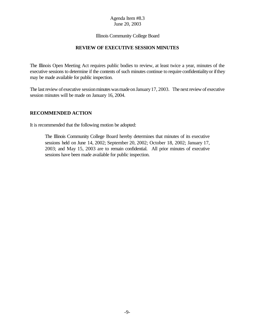#### Illinois Community College Board

#### **REVIEW OF EXECUTIVE SESSION MINUTES**

The Illinois Open Meeting Act requires public bodies to review, at least twice a year, minutes of the executive sessions to determine if the contents of such minutes continue to require confidentiality or if they may be made available for public inspection.

The last review of executive session minutes was made on January 17, 2003. The next review of executive session minutes will be made on January 16, 2004.

#### **RECOMMENDED ACTION**

It is recommended that the following motion be adopted:

The Illinois Community College Board hereby determines that minutes of its executive sessions held on June 14, 2002; September 20, 2002; October 18, 2002; January 17, 2003; and May 15, 2003 are to remain confidential. All prior minutes of executive sessions have been made available for public inspection.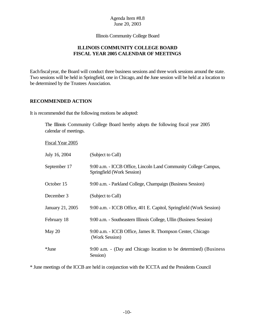Illinois Community College Board

## **ILLINOIS COMMUNITY COLLEGE BOARD FISCAL YEAR 2005 CALENDAR OF MEETINGS**

Each fiscal year, the Board will conduct three business sessions and three work sessions around the state. Two sessions will be held in Springfield, one in Chicago, and the June session will be held at a location to be determined by the Trustees Association.

## **RECOMMENDED ACTION**

It is recommended that the following motions be adopted:

The Illinois Community College Board hereby adopts the following fiscal year 2005 calendar of meetings.

Fiscal Year 2005

| July 16, 2004    | (Subject to Call)                                                                             |
|------------------|-----------------------------------------------------------------------------------------------|
| September 17     | 9:00 a.m. - ICCB Office, Lincoln Land Community College Campus,<br>Springfield (Work Session) |
| October 15       | 9:00 a.m. - Parkland College, Champaign (Business Session)                                    |
| December 3       | (Subject to Call)                                                                             |
| January 21, 2005 | 9:00 a.m. - ICCB Office, 401 E. Capitol, Springfield (Work Session)                           |
| February 18      | 9:00 a.m. - Southeastern Illinois College, Ullin (Business Session)                           |
| May 20           | 9:00 a.m. - ICCB Office, James R. Thompson Center, Chicago<br>(Work Session)                  |
| *June            | 9:00 a.m. - (Day and Chicago location to be determined) (Business<br>Session)                 |

\* June meetings of the ICCB are held in conjunction with the ICCTA and the Presidents Council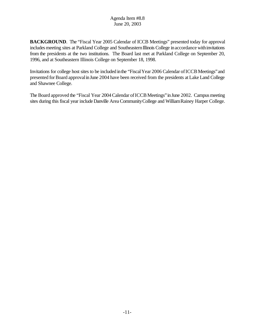**BACKGROUND**. The "Fiscal Year 2005 Calendar of ICCB Meetings" presented today for approval includes meeting sites at Parkland College and Southeastern Illinois College in accordance with invitations from the presidents at the two institutions. The Board last met at Parkland College on September 20, 1996, and at Southeastern Illinois College on September 18, 1998.

Invitations for college host sites to be included in the "Fiscal Year 2006 Calendar of ICCB Meetings" and presented for Board approval in June 2004 have been received from the presidents at Lake Land College and Shawnee College.

The Board approved the "Fiscal Year 2004 Calendar of ICCB Meetings" in June 2002. Campus meeting sites during this fiscal year include Danville Area CommunityCollege and WilliamRainey Harper College.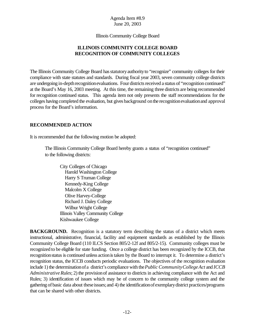Illinois Community College Board

## **ILLINOIS COMMUNITY COLLEGE BOARD RECOGNITION OF COMMUNITY COLLEGES**

The Illinois Community College Board hasstatutoryauthorityto "recognize" community colleges for their compliance with state statutes and standards. During fiscal year 2003, seven community college districts are undergoing in-depth recognition evaluations. Four districts received a status of "recognition continued" at the Board's May 16, 2003 meeting. At this time, the remaining three districts are being recommended for recognition continued status. This agenda item not only presents the staff recommendations for the colleges having completed the evaluation, but gives background onthe recognitionevaluationand approval process for the Board's information.

## **RECOMMENDED ACTION**

It is recommended that the following motion be adopted:

The Illinois Community College Board hereby grants a status of "recognition continued" to the following districts:

City Colleges of Chicago Harold Washington College Harry S Truman College Kennedy-King College Malcolm X College Olive Harvey-College Richard J. Daley College Wilbur Wright College Illinois Valley Community College Kishwaukee College

**BACKGROUND.** Recognition is a statutory term describing the status of a district which meets instructional, administrative, financial, facility and equipment standards as established by the Illinois Community College Board (110 ILCS Section 805/2-12f and 805/2-15). Community colleges must be recognized to be eligible for state funding. Once a college district has been recognized by the ICCB, that recognition status is continued unless action is taken by the Board to interrupt it. To determine a district's recognition status, the ICCB conducts periodic evaluations. The objectives of the recognition evaluation include 1) the determinationof a district's compliance with the *Public CommunityCollegeAct* and *ICCB Administrative Rules*; 2) the provision of assistance to districts in achieving compliance with the Act and Rules; 3) identification of issues which may be of concern to the community college system and the gathering ofbasic data about theseissues;and 4) the identificationof exemplarydistrict practices/programs that can be shared with other districts.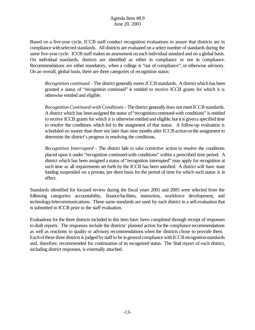Based on a five-year cycle, ICCB staff conduct recognition evaluations to assure that districts are in compliance withselected standards. All districts are evaluated on a select number of standards during the same five-year cycle. ICCB staff makes an assessment on each individual standard and on a global basis. On individual standards, districts are identified as either in compliance or not in compliance. Recommendations are either mandatory, when a college is "out of compliance", or otherwise advisory. On an overall, global basis, there are three categories of recognition status:

*Recognition continued* - The district generally meets ICCB standards. A district which has been granted a status of "recognition continued" is entitled to receive ICCB grants for which it is otherwise entitled and eligible.

*Recognition Continued-with Conditions* - The district generally does not meet ICCB standards. A district which has beenassigned the status of "recognitioncontinued-with conditions" is entitled to receive ICCB grants for which it is otherwise entitled and eligible, but it is givena specified time to resolve the conditions which led to the assignment of that status. A follow-up evaluation is scheduled no sooner than three nor later than nine months after ICCB action on the assignment to determine the district's progress in resolving the conditions.

*Recognition Interrupted* - The district fails to take corrective action to resolve the conditions placed upon it under "recognition continued-with conditions" within a prescribed time period. A district which has been assigned a status of "recognition interrupted" may apply for recognition at such time as all requirements set forth by the ICCB has been satisfied. A district will have state funding suspended on a prorata, per diem basis for the period of time for which such status is in effect.

Standards identified for focused review during the fiscal years 2001 and 2005 were selected from the following categories: accountability, finance/facilities, instruction, workforce development, and technology/telecommunications. These same standards are used by each district in a self-evaluation that is submitted to ICCB prior to the staff evaluation.

Evaluations for the three districts included in this item have been completed through receipt of responses to draft reports. The responses include the districts' planned action forthe compliance recommendations as well as reactions to quality or advisory recommendations when the districts chose to provide them. Each of these three districts is judged by staff to be in general compliance with ICCB recognition standards and, therefore, recommended for continuation of its recognized status. The final report of each district, including district responses, is externally attached.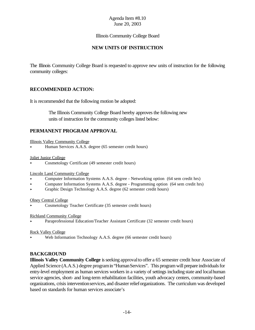#### Illinois Community College Board

## **NEW UNITS OF INSTRUCTION**

The Illinois Community College Board is requested to approve new units of instruction for the following community colleges:

## **RECOMMENDED ACTION:**

It is recommended that the following motion be adopted:

 The Illinois Community College Board hereby approves the following new units of instruction for the community colleges listed below:

## **PERMANENT PROGRAM APPROVAL**

Illinois Valley Community College

< Human Services A.A.S. degree (65 semester credit hours)

Joliet Junior College

< Cosmetology Certificate (49 semester credit hours)

Lincoln Land Community College

- < Computer Information Systems A.A.S. degree Networking option (64 sem credit hrs)
- < Computer Information Systems A.A.S. degree Programming option (64 sem credit hrs)
- < Graphic Design Technology A.A.S. degree (62 semester credit hours)

#### Olney Central College

< Cosmetology Teacher Certificate (35 semester credit hours)

#### Richland Community College

< Paraprofessional Education/Teacher Assistant Certificate (32 semester credit hours)

Rock Valley College

Web Information Technology A.A.S. degree (66 semester credit hours)

#### **BACKGROUND**

**Illinois Valley Community College** is seeking approval to offer a 65 semester credit hour Associate of Applied Science (A.A.S.) degree program in "Human Services". This program will prepare individuals for entry-level employment as human services workers in a variety of settings including state and localhuman service agencies, short- and long-term rehabilitation facilities, youth advocacy centers, community-based organizations, crisis interventionservices, and disasterrelieforganizations. The curriculum was developed based on standards for human services associate's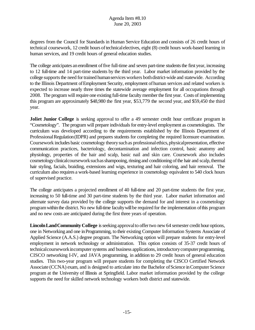degrees from the Council for Standards in Human Service Education and consists of 26 credit hours of technical coursework, 12 credit hours of technical electives, eight (8) credit hours work-based learning in human services, and 19 credit hours of general education studies.

The college anticipates an enrollment of five full-time and seven part-time students the first year, increasing to 12 full-time and 14 part-time students by the third year. Labor market information provided by the college supports the need for trained human services workers both district-wide and statewide. According to the Illinois Department of Employment Security, employment of human services and related workers is expected to increase nearly three times the statewide average employment for all occupations through 2008. The program will require one existing full-time faculty member the first year. Costs of implementing this program are approximately \$48,980 the first year, \$53,779 the second year, and \$59,450 the third year.

**Joliet Junior College** is seeking approval to offer a 49 semester credit hour certificate program in "Cosmetology". The program will prepare individuals for entry-level employment as cosmetologists. The curriculum was developed according to the requirements established by the Illinois Department of Professional Regulation (IDPR) and prepares students for completing the required licensure examination. Coursework includes basic cosmetology theory such as professional ethics, physical presentation, effective communication practices, bacteriology, decontamination and infection control, basic anatomy and physiology, properties of the hair and scalp, basic nail and skin care. Coursework also includes cosmetology clinical coursework such as shampooing, rinsing and conditioning of the hair and scalp, thermal hair styling, facials, braiding, extensions and wigs, texturing and hair coloring, and hair removal. The curriculum also requires a work-based learning experience in cosmetology equivalent to 540 clock hours of supervised practice.

The college anticipates a projected enrollment of 40 full-time and 20 part-time students the first year, increasing to 50 full-time and 30 part-time students by the third year. Labor market information and alternate survey data provided by the college supports the demand for and interest in a cosmetology program within the district. No new full-time faculty will be required for the implementation of this program and no new costs are anticipated during the first three years of operation.

**Lincoln Land Community College** is seeking approval to offer two new 64 semester credit hour options, one in Networking and one inProgramming, to their existing Computer Information Systems Associate of Applied Science (A.A.S.) degree program. The Networking option will prepare students for entry-level employment in network technology or administration. This option consists of 35-37 credit hours of technical coursework in computer systems and business applications, introductory computer programming, CISCO networking I-IV, and JAVA programming, in addition to 29 credit hours of general education studies. This two-year program will prepare students for completing the CISCO Certified Network Associate (CCNA) exam, and is designed to articulate into the Bachelor of Science in Computer Science program at the University of Illinois at Springfield. Labor market information provided by the college supports the need for skilled network technology workers both district and statewide.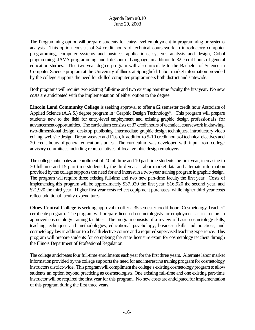The Programming option will prepare students for entry-level employment in programming or systems analysis. This option consists of 34 credit hours of technical coursework in introductory computer programming, computer systems and business applications, systems analysis and design, Cobol programming, JAVA programming, and Job Control Language, in addition to 32 credit hours of general education studies. This two-year degree program will also articulate to the Bachelor of Science in Computer Science program at the UniversityofIllinois at Springfield.Labor market information provided by the college supports the need for skilled computer programmers both district and statewide.

Both programs will require two existing full-time and two existing part-time faculty the first year. No new costs are anticipated with the implementation of either option to the degree.

**Lincoln Land Community College** is seeking approval to offer a 62 semester credit hour Associate of Applied Science (A.A.S.) degree program in "Graphic Design Technology". This program will prepare students new to the field for entry-level employment and existing graphic design professionals for advancement opportunities. The curriculum consists of 37 credit hours of technical coursework in drawing, two-dimensional design, desktop publishing, intermediate graphic design techniques, introductory video editing, web site design, Dreamweaver and Flash, in addition to 5-10 credit hours of technical electives and 20 credit hours of general education studies. The curriculum was developed with input from college advisory committees including representatives of local graphic design employers.

The college anticipates an enrollment of 20 full-time and 10 part-time students the first year, increasing to 30 full-time and 15 part-time students by the third year. Labor market data and alternate information provided by the college supports the need for and interest in a two-year training program in graphic design. The program will require three existing full-time and two new part-time faculty the first year. Costs of implementing this program will be approximately \$37,920 the first year, \$16,920 the second year, and \$21,920 the third year. Higher first year costs reflect equipment purchases, while higher third year costs reflect additional faculty expenditures.

**Olney Central College** is seeking approval to offer a 35 semester credit hour "Cosmetology Teacher" certificate program. The program will prepare licensed cosmetologists for employment as instructors in approved cosmetology training facilities. The program consists of a review of basic cosmetology skills, teaching techniques and methodologies, educational psychology, business skills and practices, and cosmetology law in addition to a health elective course and a required supervised teaching experience. This program will prepare students for completing the state licensure exam for cosmetology teachers through the Illinois Department of Professional Regulation.

The college anticipates four full-time enrollments each year for the first three years. Alternate labor market information provided by the college supports the need for and interest in a training program for cosmetology instructorsdistrict-wide. This program will compliment the college's existing cosmetology program to allow students an option beyond practicing as cosmetologists. One existing full-time and one existing part-time instructor will be required the first year for this program. No new costs are anticipated for implementation of this program during the first three years.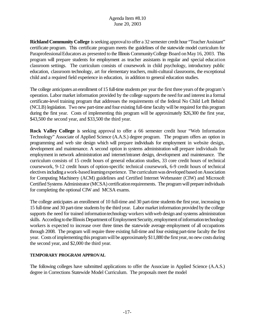**Richland Community College** is seeking approval to offer a 32 semester credit hour "Teacher Assistant" certificate program. This certificate program meets the guidelines of the statewide model curriculum for Paraprofessional Educators as presented to the Illinois Community College Board on May 16, 2003. This program will prepare students for employment as teacher assistants in regular and special education classroom settings. The curriculum consists of coursework in child psychology, introductory public education, classroom technology, art for elementary teachers, multi-cultural classrooms, the exceptional child and a required field experience in education, in addition to general education studies.

The college anticipates an enrollment of 15 full-time students per year the first three years of the program's operation. Labor market information provided by the college supports the need for and interest in a formal certificate-level training program that addresses the requirements of the federal No Child Left Behind (NCLB) legislation. Two new part-time and four existing full-time faculty will be required for this program during the first year. Costs of implementing this program will be approximately \$26,300 the first year, \$43,500 the second year, and \$33,500 the third year.

**Rock Valley College** is seeking approval to offer a 66 semester credit hour "Web Information Technology" Associate of Applied Science (A.A.S.) degree program. The program offers an option in programming and web site design which will prepare individuals for employment in website design, development and maintenance. A second option in systems administration will prepare individuals for employment in network administration and internet/intranet design, development and maintenance. The curriculum consists of 15 credit hours of general education studies, 33 core credit hours of technical coursework, 9-12 credit hours of option-specific technical coursework, 6-9 credit hours of technical electivesincluding awork-basedlearningexperience. The curriculum was developed based on Association for Computing Machinery (ACM) guidelines and Certified Internet Webmaster (CIW) and Microsoft Certified Systems Administrator (MCSA) certification requirements. The program will prepare individuals for completing the optional CIW and MCSA exams.

The college anticipates an enrollment of 10 full-time and 30 part-time students the first year, increasing to 15 full-time and 30 part-time students bythe third year. Labor market information provided by the college supports the need for trained information technology workers with web design and systems administration skills. According to the Illinois Department of Employment Security, employment of information technology workers is expected to increase over three times the statewide average employment of all occupations through 2008. The program will require three existing full-time and four existing part-time faculty the first year. Costs of implementing this program will be approximately \$11,880 the first year, no new costs during the second year, and \$2,000 the third year.

#### **TEMPORARY PROGRAM APPROVAL**

The following colleges have submitted applications to offer the Associate in Applied Science (A.A.S.) degree in Corrections Statewide Model Curriculum. The proposals meet the model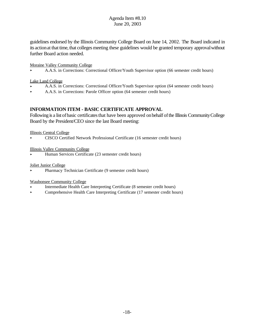guidelines endorsed by the Illinois Community College Board on June 14, 2002. The Board indicated in its action at that time, that colleges meeting these guidelines would be granted temporary approval without further Board action needed.

#### Moraine Valley Community College

< A.A.S. in Corrections: Correctional Officer/Youth Supervisor option (66 semester credit hours)

#### Lake Land College

- < A.A.S. in Corrections: Correctional Officer/Youth Supervisor option (64 semester credit hours)
- < A.A.S. in Corrections: Parole Officer option (64 semester credit hours)

## **INFORMATION ITEM - BASIC CERTIFICATE APPROVAL**

Following is a list of basic certificates that have been approved on behalf of the Illinois Community College Board by the President/CEO since the last Board meeting:

#### Illinois Central College

< CISCO Certified Network Professional Certificate (16 semester credit hours)

#### Illinois Valley Community College

< Human Services Certificate (23 semester credit hours)

#### Joliet Junior College

< Pharmacy Technician Certificate (9 semester credit hours)

#### Waubonsee Community College

- < Intermediate Health Care Interpreting Certificate (8 semester credit hours)
- < Comprehensive Health Care Interpreting Certificate (17 semester credit hours)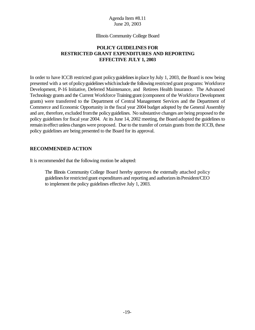#### Illinois Community College Board

## **POLICY GUIDELINES FOR RESTRICTED GRANT EXPENDITURES AND REPORTING EFFECTIVE JULY 1, 2003**

In order to have ICCB restricted grant policy guidelines in place by July 1, 2003, the Board is now being presented with a set ofpolicyguidelineswhichinclude the following restricted grant programs: Workforce Development, P-16 Initiative, Deferred Maintenance, and Retirees Health Insurance. The Advanced Technology grants and the Current Workforce Training grant (component of the Workforce Development grants) were transferred to the Department of Central Management Services and the Department of Commerce and Economic Opportunity in the fiscal year 2004 budget adopted by the General Assembly and are, therefore, excluded fromthe policyguidelines. No substantive changes are being proposed to the policy guidelines for fiscal year 2004. At its June 14, 2002 meeting, the Board adopted the guidelines to remain ineffect unless changes were proposed. Due to the transfer of certain grants from the ICCB, these policy guidelines are being presented to the Board for its approval.

#### **RECOMMENDED ACTION**

It is recommended that the following motion be adopted:

The Illinois Community College Board hereby approves the externally attached policy guidelines for restricted grant expenditures and reporting and authorizes its President/CEO to implement the policy guidelines effective July 1, 2003.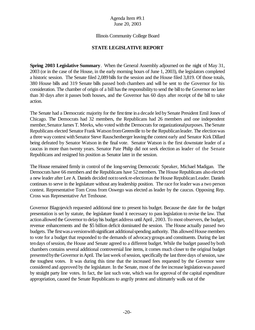#### Illinois Community College Board

## **STATE LEGISLATIVE REPORT**

**Spring 2003 Legislative Summary**. When the General Assembly adjourned on the night of May 31, 2003 (or in the case of the House, in the early morning hours of June 1, 2003), the legislators completed a historic session. The Senate filed 2,089 bills for the session and the House filed 3,819. Of those totals, 380 House bills and 319 Senate bills passed both chambers and will be sent to the Governor for his consideration. The chamber of origin of a bill has the responsibility to send the bill to the Governor no later than 30 days after it passes both houses, and the Governor has 60 days after receipt of the bill to take action.

The Senate had a Democratic majority for the first time ina decade led bySenate President Emil Jones of Chicago. The Democrats had 32 members, the Republicans had 26 members and one independent member, Senator James T. Meeks, who voted with the Democrats for organizational purposes. The Senate Republicans elected Senator Frank Watson from Greenville to be the Republican leader. The election was a three way contest with Senator Steve Rauschenberger leaving the contest early and Senator Kirk Dillard being defeated by Senator Watson in the final vote. Senator Watson is the first downstate leader of a caucus in more than twenty years. Senator Pate Philip did not seek election as leader of the Senate Republicans and resigned his position as Senator later in the session.

The House remained firmly in control of the long-serving Democratic Speaker, Michael Madigan. The Democrats have 66 members and the Republicans have 52 members. The House Republicans also elected a new leader after Lee A. Daniels decided nottoseekre-electionasthe HouseRepublicanLeader. Daniels continues to serve in the legislature without any leadership position. The race for leader was a two person contest. Representative Tom Cross from Oswego was elected as leader by the caucus. Opposing Rep. Cross was Representative Art Tenhouse.

Governor Blagojevich requested additional time to present his budget. Because the date for the budget presentation is set by statute, the legislature found it necessary to pass legislation to revise the law. That action allowed the Governor to delay his budget address until April, 2003. To most observers, the budget, revenue enhancements and the \$5 billion deficit dominated the session. The House actually passed two budgets. The first was a version with significant additional spending authority. This allowed House members to vote for a budget that responded to the demands of advocacygroups and constituents. During the last tendays ofsession, the House and Senate agreed to a different budget. While the budget passed byboth chambers contains several additional controversial line items, it comes much closer to the original budget presented by the Governor in April. The last week of session, specifically the last three days of session, saw the toughest votes. It was during this time that the increased fees requested by the Governor were considered and approved by the legislature. In the Senate, most of the fee increase legislationwas passed by straight party line votes. In fact, the last such vote, which was for approval of the capital expenditure appropriation, caused the Senate Republicans to angrily protest and ultimately walk out of the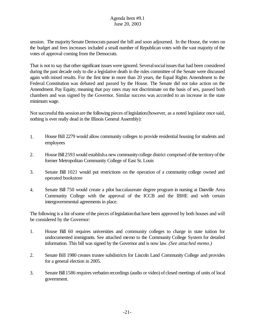session. The majoritySenate Democrats passed the bill and soon adjourned. In the House, the votes on the budget and fees increases included a small number of Republican votes with the vast majority of the votes of approval coming from the Democrats.

That is not to say that other significant issues were ignored. Several social issues that had been considered during the past decade only to die a legislative death in the rules committee of the Senate were discussed again with mixed results. For the first time in more than 20 years, the Equal Rights Amendment to the Federal Constitution was debated and passed by the House. The Senate did not take action on the Amendment. Pay Equity, meaning that pay rates may not discriminate on the basis of sex, passed both chambers and was signed by the Governor. Similar success was accorded to an increase in the state minimum wage.

Not successful this session are the following pieces of legislation (however, as a noted legislator once said, nothing is ever really dead in the Illinois General Assembly):

- 1. House Bill 2279 would allow community colleges to provide residential housing for students and employees
- 2. House Bill 2593 would establish a new community college district comprised of the territory of the former Metropolitan Community College of East St. Louis
- 3. Senate Bill 1021 would put restrictions on the operation of a community college owned and operated bookstore
- 4. Senate Bill 750 would create a pilot baccalaureate degree program in nursing at Danville Area Community College with the approval of the ICCB and the IBHE and with certain intergovernmental agreements in place.

The following is a list of some of the pieces of legislation that have been approved by both houses and will be considered by the Governor:

- 1. House Bill 60 requires universities and community colleges to charge in state tuition for undocumented immigrants. See attached memo to the Community College System for detailed information. This bill was signed by the Governor and is now law. *(See attached memo.)*
- 2. Senate Bill 1980 creates trustee subdistricts for Lincoln Land Community College and provides for a general election in 2005.
- 3. Senate Bill1586 requires verbatimrecordings (audio or video) of closed meetings of units of local government.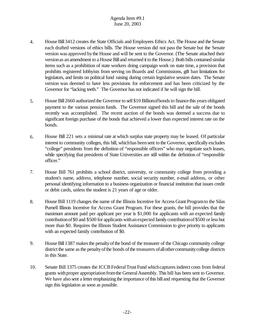- 4. House Bill 3412 creates the State Officials and Employees Ethics Act. The House and the Senate each drafted versions of ethics bills. The House version did not pass the Senate but the Senate version was approved bythe House and will be sent to the Governor. (The Senate attached their version as an amendment to a House Bill and returned it to the House.) Both bills contained similar items such as a prohibition of state workers doing campaign work on state time, a provision that prohibits registered lobbyists from serving on Boards and Commissions, gift ban limitations for legislators, and limits on political fund raising during certain legislative session dates. The Senate version was deemed to have less provisions for enforcement and has been criticized by the Governor for "lacking teeth." The Governor has not indicated if he will sign the bill.
- 5. House Bill 2660 authorized the Governor to sell \$10 Billionofbonds to finance this years obligated payment to the various pension funds. The Governor signed this bill and the sale of the bonds recently was accomplished. The recent auction of the bonds was deemed a success due to significant foreign purchase of the bonds that achieved a lower than expected interest rate on the bonds.
- 6. House Bill 221 sets a minimal rate at which surplus state property may be leased. Of particular interest to community colleges, this bill, which has been sent to the Governor, specifically excludes "college" presidents from the definition of "responsible officers" who may negotiate such leases, while specifying that presidents of State Universities are still within the definition of "responsible officer."
- 7. House Bill 761 prohibits a school district, university, or community college from providing a student's name, address, telephone number, social security number, e-mail address, or other personal identifying information to a business organization or financial institution that issues credit or debit cards, unless the student is 21 years of age or older.
- 8. House Bill 1119 changes the name of the Illinois Incentive for Access Grant Programto the Silas Purnell Illinois Incentive for Access Grant Program. For these grants, the bill provides that the maximum amount paid per applicant per year is \$1,000 for applicants with an expected family contributionof\$0 and \$500 for applicants withanexpected familycontributionof\$500 or less but more than \$0. Requires the Illinois Student Assistance Commission to give priority to applicants with an expected family contribution of \$0.
- 9. House Bill 1387 makes the penalty of the bond of the treasurer of the Chicago community college district the same as the penalty of the bonds of the treasurers of all other community college districts in this State.
- 10. Senate Bill 1375 creates the ICCB Federal Trust Fund which captures indirect costs from federal grants with proper appropriation from the General Assembly. This bill has been sent to Governor. We have also sent a letter emphasizing the importance of this bill and requesting that the Governor sign this legislation as soon as possible.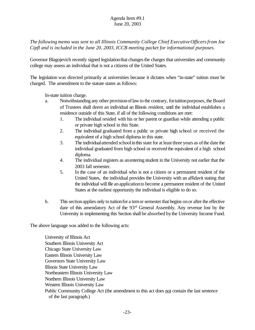*The following memo was sent to all Illinois Community College Chief ExecutiveOfficersfrom Joe Cipfl and is included in the June 20, 2003, ICCB meeting packet for informational purposes.*

Governor Blagojevich recently signed legislation that changes the charges that universities and community college may assess an individual that is not a citizens of the United States.

The legislation was directed primarily at universities because it dictates when "in-state" tuition must be charged. The amendment to the statute states as follows:

In-state tuition charge.

- a. Notwithstanding any other provisionoflawto the contrary, fortuitionpurposes, the Board of Trustees shall deem an individual an Illinois resident, until the individual establishes a residence outside of this State, if all of the following conditions are met:
	- 1. The individual resided with his or her parent or guardian while attending a public or private high school in this State.
	- 2. The individual graduated from a public or private high school or received the equivalent of a high school diploma in this state.
	- 3. The individual attended school in this state for at least three years as of the date the individual graduated from high school or received the equivalent of a high school diploma.
	- 4. The individual registers as anentering student in the University not earlier that the 2003 fall semester.
	- 5. In the case of an individual who is not a citizen or a permanent resident of the United States, the individual provides the University with an affidavit stating that the individual will file an application to become a permanent resident of the United States at the earliest opportunity the individual is eligible to do so.
- b. This section applies only to tuition for a tem or semester that begins on or after the effective date of this amendatory Act of the 93rd General Assembly. Any revenue lost by the University in implementing this Section shall be absorbed bythe University Income Fund.

The above language was added to the following acts:

University of Illinois Act Southern Illinois University Act Chicago State University Law Eastern Illinois University Law Governors State University Law Illinois State University Law Northeastern Illinois University Law Northern Illinois University Law Western Illinois University Law Public Community College Act (the amendment to this act does not contain the last sentence of the last paragraph.)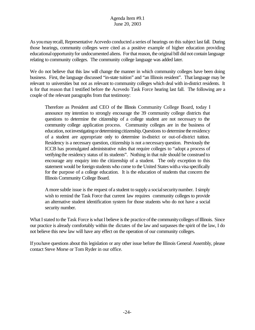As youmayrecall, Representative Acevedo conducted a series of hearings on this subject lastfall. During those hearings, community colleges were cited as a positive example of higher education providing educational opportunity for undocumented aliens. For that reason, the original bill did not contain language relating to community colleges. The community college language was added later.

We do not believe that this law will change the manner in which community colleges have been doing business. First, the language discussed "in-state tuition" and "an Illinois resident". That language may be relevant to universities but not as relevant to community colleges which deal with in-district residents. It is for that reason that I testified before the Acevedo Task Force hearing last fall. The following are a couple of the relevant paragraphs from that testimony:

Therefore as President and CEO of the Illinois Community College Board, today I announce my intention to strongly encourage the 39 community college districts that questions to determine the citizenship of a college student are not necessary to the community college application process. Community colleges are in the business of education, not investigating or determining citizenship. Questions to determine the residency of a student are appropriate only to determine in-district or out-of-district tuition. Residency is a necessary question, citizenship is not a necessaryquestion. Previously the ICCB has promulgated administrative rules that require colleges to "adopt a process of verifying the residency status of its students". Nothing in that rule should be construed to encourage any enquiry into the citizenship of a student. The only exception to this statement would be foreign students who come to the United States witha visa specifically for the purpose of a college education. It is the education of students that concern the Illinois Community College Board.

Amore subtle issue is the request ofa student to supply a socialsecuritynumber. I simply wish to remind the Task Force that current law requires community colleges to provide an alternative student identification system for those students who do not have a social security number.

What I stated to the Task Force is what I believe is the practice of the community colleges of Illinois. Since our practice is already comfortably within the dictates of the law and surpasses the spirit of the law, I do not believe this new law will have any effect on the operation of our community colleges.

Ifyouhave questions about this legislation or any other issue before the Illinois General Assembly, please contact Steve Morse or Tom Ryder in our office.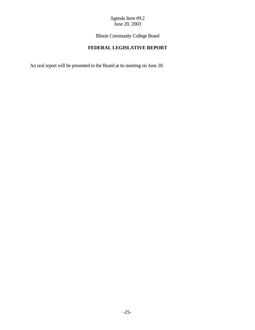Illinois Community College Board

# **FEDERAL LEGISLATIVE REPORT**

An oral report will be presented to the Board at its meeting on June 20.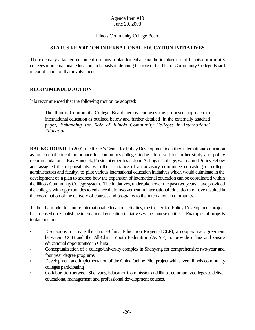## Illinois Community College Board

## **STATUS REPORT ON INTERNATIONAL EDUCATION INITIATIVES**

The externally attached document contains a plan for enhancing the involvement of Illinois community colleges in international education and assists in defining the role of the Illinois Community College Board in coordination of that involvement.

## **RECOMMENDED ACTION**

It is recommended that the following motion be adopted:

The Illinois Community College Board hereby endorses the proposed approach to international education as outlined below and further detailed in the externally attached paper, *Enhancing the Role of Illinois Community Colleges in International Education.*

**BACKGROUND**. In 2001, the ICCB's Center for Policy Development identified international education as an issue of critical importance for community colleges to be addressed for further study and policy recommendations. Ray Hancock, President emeritus of John A. Logan College, was named Policy Fellow and assigned the responsibility, with the assistance of an advisory committee consisting of college administrators and faculty, to pilot various international education initiatives which would culminate in the development of a plan to address how the expansion of international education can be coordinated within the Illinois CommunityCollege system. The initiatives, undertaken over the past two years, have provided the colleges with opportunities to enhance their involvement in internationaleducationand have resulted in the coordination of the delivery of courses and programs to the international community.

To build a model for future international education activities, the Center for Policy Development project has focused onestablishing international education initiatives with Chinese entities. Examples of projects to date include:

- Discussions to create the Illinois-China Education Project (ICEP), a cooperative agreement between ICCB and the All-China Youth Federation (ACYF) to provide online and onsite educational opportunities in China
- Conceptualization of a college/university complex in Shenyang for comprehensive two-year and four year degree programs
- Development and implementation of the China Online Pilot project with seven Illinois community colleges participating
- CollaborationbetweenShenyangEducationCommissionand Illinois communitycollegesto deliver educational management and professional development courses.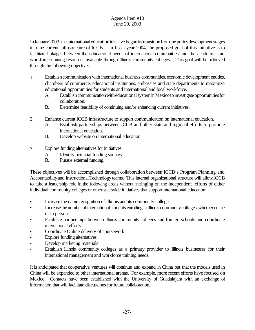In January 2003, the international education initiative began its transition from the policy development stages into the current infrastructure of ICCB. In fiscal year 2004, the proposed goal of this initiative is to facilitate linkages between the educational needs of international communities and the academic and workforce training resources available through Illinois community colleges. This goal will be achieved through the following objectives:

- 1. Establishcommunication with international business communities, economic development entities, chambers of commerce, educational institutions, embassies and state departments to maximize educational opportunities for students and international and local workforce.
	- A. Establish communication with educational system in Mexico to investigate opportunities for collaboration.
	- B. Determine feasibility of continuing and/or enhancing current initiatives.
- 2. Enhance current ICCB infrastructure to support communication on international education.
	- A. Establish partnerships between ICCB and other state and regional efforts to promote international education.
	- B. Develop website on international education.
- 3. Explore funding alternatives for initiatives.
	- A. Identify potential funding sources.
	- B. Pursue external funding.

These objectives will be accomplished through collaboration between ICCB's Program Planning and Accountabilityand InstructionalTechnology teams. This internal organizational structure will allowICCB to take a leadership role in the following areas without infringing on the independent efforts of either individual community colleges or other statewide initiatives that support international education:

- Increase the name recognition of Illinois and its community colleges
- Increase the number of international students enrolling in Illinois community colleges, whether online or in person
- Facilitate partnerships between Illinois community colleges and foreign schools and coordinate international efforts
- Coordinate Online delivery of coursework
- Explore funding alternatives
- Develop marketing materials
- Establish Illinois community colleges as a primary provider to Illinois businesses for their international management and workforce training needs.

It is anticipated that cooperative ventures will continue and expand in China but that the models used in China will be expanded to other international arenas. For example, more recent efforts have focused on Mexico. Contacts have been established with the University of Guadalajara with an exchange of information that will facilitate discussions for future collaboration.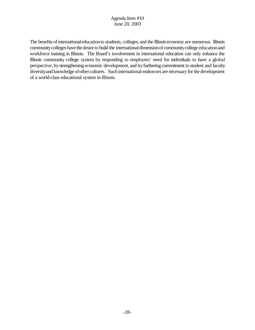The benefits of international education to students, colleges, and the Illinois economy are numerous. Illinois communitycolleges have the desireto build the internationaldimensionof communitycollege educationand workforce training in Illinois. The Board's involvement in international education can only enhance the Illinois community college system by responding to employers' need for individuals to have a global perspective, by strengthening economic development, and by furthering commitment to student and faculty diversity and knowledge of other cultures. Such international endeavors are necessary for the development of a world-class educational system in Illinois.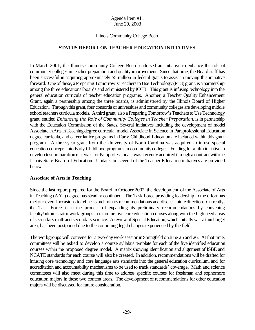#### Illinois Community College Board

## **STATUS REPORT ON TEACHER EDUCATION INITIATIVES**

In March 2001, the Illinois Community College Board endorsed an initiative to enhance the role of community colleges in teacher preparation and quality improvement. Since that time, the Board staff has been successful in acquiring approximately \$5 million in federal grants to assist in moving this initiative forward. One of these, a Preparing Tomorrow's Teachers to Use Technology (PT3) grant, is a partnership among the three educationalboards and administered byICCB. This grant is infusing technology into the general education curricula of teacher education programs. Another, a Teacher Quality Enhancement Grant, again a partnership among the three boards, is administered by the Illinois Board of Higher Education. Through this grant, four consortia of universities and community colleges are developing middle schoolteachers curricula models. A third grant, also a Preparing Tomorrow's Teachers to Use Technology grant, entitled *Enhancing the Role of Community Colleges in Teacher Preparation*, is in partnership with the Education Commission of the States. Several initiatives including the development of model Associate in Arts in Teaching degree curricula, model Associate in Science in Paraprofessional Education degree curricula, and career lattice programs in Early Childhood Education are included within this grant program. A three-year grant from the University of North Carolina was acquired to infuse special education concepts into Early Childhood programs in communitycolleges. Funding for a fifth initiative to develop test preparation materials for Paraprofessionals was recently acquired through a contract with the Illinois State Board of Education. Updates on several of the Teacher Education initiatives are provided below.

#### **Associate of Arts in Teaching**

Since the last report prepared for the Board in October 2002, the development of the Associate of Arts in Teaching (AAT) degree has steadily continued. The Task Force providing leadership to the effort has met on several occasions to refine its preliminary recommendations and discuss future direction. Currently, the Task Force is in the process of expanding its preliminary recommendations by convening faculty/administrator work groups to examine five core education courses along with the high need areas ofsecondarymathand secondaryscience. A review of Special Education, which initially was a third target area, has been postponed due to the continuing legal changes experienced by the field.

The workgroups will convene for a two-day work session in Springfield on June 25 and 26. At that time, committees will be asked to develop a course syllabus template for each of the five identified education courses within the proposed degree model. A matrix showing identification and alignment of ISBE and NCATE standards for each course will also be created. In addition, recommendations will be drafted for infusing core technology and core language arts standards into the general education curriculum, and for accreditation and accountability mechanisms to be used to track standards' coverage. Math and science committees will also meet during this time to address specific courses for freshman and sophomore education majors in these two content areas. The development of recommendations for other education majors will be discussed for future consideration.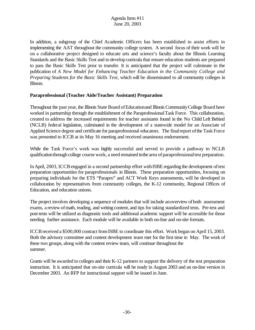In addition, a subgroup of the Chief Academic Officers has been established to assist efforts in implementing the AAT throughout the community college system. A second focus of their work will be on a collaborative project designed to educate arts and science's faculty about the Illinois Learning Standards and the Basic Skills Test and to develop curricula that ensure education students are prepared to pass the Basic Skills Test prior to transfer. It is anticipated that the project will culminate in the publication of *A New Model for Enhancing Teacher Education in the Community College and Preparing Students for the Basic Skills Test,* which will be disseminated to all community colleges in Illinois.

## **Paraprofessional (Teacher Aide/Teacher Assistant) Preparation**

Throughout the past year, the Illinois State Board of Education and Illinois Community College Board have worked in partnership through the establishment of the Paraprofessional Task Force. This collaboration, created to address the increased requirements for teacher assistants found in the No Child Left Behind (NCLB) federal legislation, culminated in the development of a statewide model for an Associate of Applied Science degree and certificate for paraprofessional educators. The finalreport ofthe Task Force was presented to ICCB at its May 16 meeting and received unanimous endorsement.

While the Task Force's work was highly successful and served to provide a pathway to NCLB qualificationthrough college course work, a need remained inthe area ofparaprofessionaltest preparation.

In April, 2003, ICCB engaged in a second partnership effort with ISBE regarding the development of test preparation opportunities for paraprofessionals in Illinois. These preparation opportunities, focusing on preparing individuals for the ETS "Parapro" and ACT Work Keys assessments, will be developed in collaboration by representatives from community colleges, the K-12 community, Regional Offices of Education, and education unions.

The project involves developing a sequence of modules that will include anoverview ofboth assessment exams, a review ofmath, reading, and writing content, and tips for taking standardized tests. Pre-test and post-tests will be utilized as diagnostic tools and additional academic support will be accessible for those needing further assistance. Each module will be available in both on-line and on-site formats.

ICCB received a \$500,000 contract from ISBE to coordinate this effort. Work began on April 15, 2003. Both the advisory committee and content development team met for the first time in May. The work of these two groups, along with the content review team, will continue throughout the summer.

Grants will be awarded to colleges and their K-12 partners to support the delivery of the test preparation instruction. It is anticipated that on-site curricula will be ready in August 2003 and an on-line version in December 2003. An RFP for instructional support will be issued in June.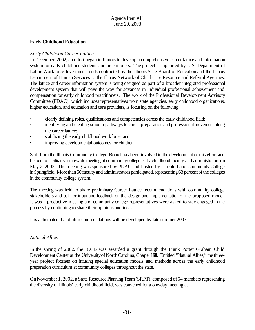## **Early Childhood Education**

## *Early Childhood Career Lattice*

In December, 2002, an effort began in Illinois to develop a comprehensive career lattice and information system for early childhood students and practitioners. The project is supported by U.S. Department of Labor Workforce Investment funds contracted by the Illinois State Board of Education and the Illinois Department of Human Services to the Illinois Network of Child Care Resource and Referral Agencies. The lattice and career information system is being designed as part of a broader integrated professional development system that will pave the way for advances in individual professional achievement and compensation for early childhood practitioners. The work of the Professional Development Advisory Committee (PDAC), which includes representatives from state agencies, early childhood organizations, higher education, and education and care providers, is focusing on the following:

- clearly defining roles, qualifications and competencies across the early childhood field;
- identifying and creating smooth pathways to career preparation and professional movement along the career lattice;
- stabilizing the early childhood workforce; and
- improving developmental outcomes for children.

Staff from the Illinois Community College Board has been involved in the development of this effort and helped to facilitate a statewide meeting of communitycollege early childhood faculty and administrators on May 2, 2003. The meeting was sponsored by PDAC and hosted by Lincoln Land Community College inSpringfield. More than 50 faculty and administrators participated, representing 63 percent of the colleges in the community college system.

The meeting was held to share preliminary Career Lattice recommendations with community college stakeholders and ask for input and feedback on the design and implementation of the proposed model. It was a productive meeting and community college representatives were asked to stay engaged in the process by continuing to share their opinions and ideas.

It is anticipated that draft recommendations will be developed by late summer 2003.

## *Natural Allies*

In the spring of 2002, the ICCB was awarded a grant through the Frank Porter Graham Child Development Center at the University of North Carolina, Chapel Hill. Entitled "Natural Allies," the threeyear project focuses on infusing special education models and methods across the early childhood preparation curriculum at community colleges throughout the state.

On November 1, 2002, a State Resource Planning Team (SRPT), composed of 54 members representing the diversity of Illinois' early childhood field, was convened for a one-day meeting at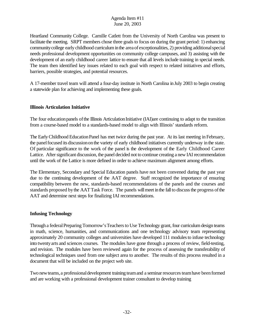Heartland Community College. Camille Catlett from the University of North Carolina was present to facilitate the meeting. SRPT members chose three goals to focus on during the grant period: 1) enhancing community college early childhood curriculum in the area of exceptionalities, 2) providing additional special needs professional development opportunities on community college campuses, and 3) assisting with the development of an early childhood career lattice to ensure that all levels include training in special needs. The team then identified key issues related to each goal with respect to related initiatives and efforts, barriers, possible strategies, and potential resources.

A 17-member travel team will attend a four-day institute in North Carolina inJuly 2003 to begin creating a statewide plan for achieving and implementing these goals.

## **Illinois Articulation Initiative**

The four education panels of the Illinois Articulation Initiative (IAI)are continuing to adapt to the transition from a course-based model to a standards-based model to align with Illinois' standards reform.

The Early Childhood Education Panel has met twice during the past year. At its last meeting in February, the panelfocused its discussiononthe variety of early childhood initiatives currently underway in the state. Of particular significance to the work of the panel is the development of the Early Childhood Career Lattice. After significant discussion, the panel decided not to continue creating a new IAI recommendation until the work of the Lattice is more defined in order to achieve maximum alignment among efforts.

The Elementary, Secondary and Special Education panels have not been convened during the past year due to the continuing development of the AAT degree. Staff recognized the importance of ensuring compatibility between the new, standards-based recommendations of the panels and the courses and standards proposed by the AAT Task Force. The panels will meet in the fall to discuss the progress of the AAT and determine next steps for finalizing IAI recommendations.

## **Infusing Technology**

Through a federal Preparing Tomorrow's Teachers to Use Technology grant, four curriculum design teams in math, science, humanities, and communications and one technology advisory team representing approximately 20 community colleges and universities have developed 111 modulesto infuse technology into twentyarts and sciences courses. The modules have gone through a process of review, field-testing, and revision. The modules have been reviewed again for the process of assessing the transferability of technological techniques used from one subject area to another. The results of this process resulted in a document that will be included on the project web site.

Two newteams,a professionaldevelopment training teamand a seminarresourcesteamhave beenformed and are working with a professional development trainer consultant to develop training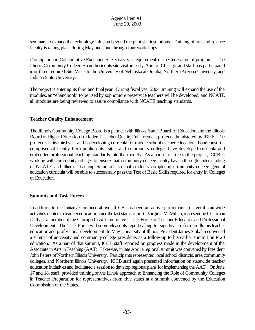seminars to expand the technology infusion beyond the pilot site institutions. Training of arts and science faculty is taking place during May and June through four workshops.

Participation in Collaborative Exchange Site Visits is a requirement of the federal grant program. The Illinois Community College Board hosted its site visit in early April in Chicago and staff has participated in its three required Site Visits to the University of Nebraska at Omaha, Northern Arizona University, and Indiana State University.

The project is entering its third and finalyear. During fiscal year 2004, training will expand the use of the modules, an"ehandbook"to be used by sophomore preservice teachers will be developed, and NCATE all modules are being reviewed to assure compliance with NCATE teaching standards.

## **Teacher Quality Enhancement**

The Illinois Community College Board is a partner with Illinois State Board of Education and the Illinois Board of Higher Education in a federal Teacher Quality Enhancement project administered by IBHE. The project isin its third year and is developing curricula for middle school teacher education. Four consortia comprised of faculty from public universities and community colleges have developed curricula and embedded professional teaching standards into the models. As a part of its role in the project, ICCB is working with community colleges to ensure that community college faculty have a through understanding of NCATE and Illinois Teaching Standards so that students completing community college general education curricula will be able to successfully passthe Test of Basic Skills required for entry in Colleges of Education.

#### **Summits and Task Forces**

In addition to the initiatives outlined above, ICCB has been an active participant in several statewide activities related to teacher education since the last status report. Virginia McMillan, representing Chairman Duffy, is a member of the Chicago Civic Committee's Task Force on Teacher Education and Professional Development. The Task Force will soon release its report calling for significant reform in Illinois teacher educationand professionaldevelopment In May University of Illinois President James Stukal reconvened a summit of university and community college presidents as a follow-up to his earlier summit on P-20 education. As a part of that summit, ICCB staff reported on progress made in the development of the Associate in Arts in Teaching (AAT). Likewise, in late April a regional summit was convened by President John Peters of Northern Illinois University. Participants represented local school districts, area community colleges, and Northern Illinois University. ICCB staff again presented information on statewide teacher education initiatives and facilitated a session to develop regional plans for implementing the AAT. On June 17 and 18, staff provided training onthe Illinois approach to Enhancing the Role of Community Colleges in Teacher Preparation for representatives from five states at a summit convened by the Education Commission of the States.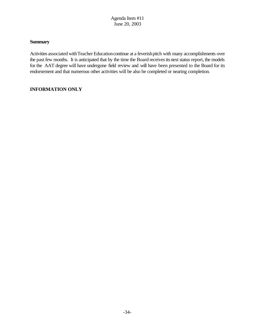## **Summary**

Activities associated with Teacher Education continue at a feverish pitch with many accomplishments over the past few months. It is anticipated that by the time the Board receives its next status report, the models for the AAT degree will have undergone field review and will have been presented to the Board for its endorsement and that numerous other activities will be also be completed or nearing completion.

## **INFORMATION ONLY**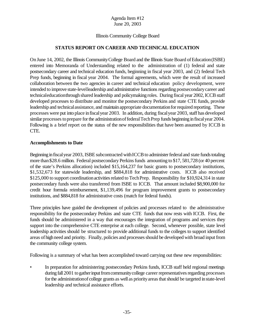## Illinois Community College Board

## **STATUS REPORT ON CAREER AND TECHNICAL EDUCATION**

On June 14, 2002, the Illinois CommunityCollege Board and the Illinois State Board ofEducation(ISBE) entered into Memoranda of Understanding related to the administration of (1) federal and state postsecondary career and technical education funds, beginning in fiscal year 2003, and (2) federal Tech Prep funds, beginning in fiscal year 2004. The formal agreements, which were the result of increased collaboration between the two agencies in career and technical education policy development, were intended to improve state-levelleadership and administrative functions regarding postsecondarycareer and technicaleducationthrough shared leadership and policymaking roles. During fiscal year 2002, ICCB staff developed processes to distribute and monitor the postsecondary Perkins and state CTE funds, provide leadership and technical assistance, and maintain appropriate documentation for required reporting. These processes were put into place in fiscal year 2003. In addition, during fiscal year 2003, staff has developed similar processes to prepare for the administration of federal Tech Prep funds beginning in fiscal year 2004. Following is a brief report on the status of the new responsibilities that have been assumed by ICCB in CTE.

#### **Accomplishments to Date**

Beginning in fiscal year 2003, ISBE subcontracted with ICCB to administer federal and state funds totaling more than\$28.6 million. Federal postsecondary Perkins funds amounting to \$17, 581,728 (or 40 percent of the state's Perkins allocation) included \$15,164,237 for basic grants to postsecondary institutions, \$1,532,673 for statewide leadership, and \$884,818 for administrative costs. ICCB also received \$125,000 to support coordination activities related to Tech Prep. Responsibility for \$10,924,314 in state postsecondary funds were also transferred from ISBE to ICCB. That amount included \$8,900,000 for credit hour formula reimbursement, \$1,139,496 for program improvement grants to postsecondary institutions, and \$884,818 for administrative costs (match for federal funds).

Three principles have guided the development of policies and processes related to the administrative responsibility for the postsecondary Perkins and state CTE funds that now rests with ICCB. First, the funds should be administered in a way that encourages the integration of programs and services they support into the comprehensive CTE enterprise at each college. Second, whenever possible, state level leadership activities should be structured to provide additional funds to the colleges to support identified areas of high need and priority. Finally, policies and processes should be developed with broad input from the community college system.

Following is a summary of what has been accomplished toward carrying out these new responsibilities:

• In preparation for administering postsecondary Perkins funds, ICCB staff held regional meetings during fall 2001 to gather input from community college career representatives regarding processes for the administration of college grants as well as priority areas that should be targeted in state-level leadership and technical assistance efforts.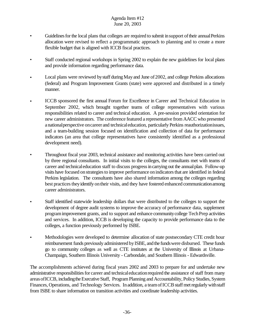- Guidelines for the local plans that colleges are required to submit in support of their annual Perkins allocation were revised to reflect a programmatic approach to planning and to create a more flexible budget that is aligned with ICCB fiscal practices.
- Staff conducted regional workshops in Spring 2002 to explain the new guidelines for local plans and provide information regarding performance data.
- Local plans were reviewed by staff during May and June of 2002, and college Perkins allocations (federal) and Program Improvement Grants (state) were approved and distributed in a timely manner.
- ICCB sponsored the first annual Forum for Excellence in Career and Technical Education in September 2002, which brought together teams of college representatives with various responsibilities related to career and technical education. A pre-session provided orientation for new career administrators. The conference featured a representative from AACC who presented anationalperspective oncareer and technicaleducation, particularly Perkins reauthorizationissues, and a team-building session focused on identification and collection of data for performance indicators (an area that college representatives have consistently identified as a professional development need).
- Throughout fiscal year 2003, technical assistance and monitoring activities have been carried out by three regional consultants. In initial visits to the colleges, the consultants met with teams of career and technicaleducation staff to discuss progressincarrying out the annualplan. Follow-up visits have focused onstrategiesto improve performance onindicatorsthat are identified in federal Perkins legislation. The consultants have also shared information among the colleges regarding best practices they identify on their visits, and they have fostered enhanced communication among career administrators.
- Staff identified statewide leadership dollars that were distributed to the colleges to support the development of degree audit systems to improve the accuracy of performance data, supplement programimprovement grants, and to support and enhance communitycollege TechPrep activities and services. In addition, ICCB is developing the capacity to provide performance data to the colleges, a function previously performed by ISBE.
- Methodologies were developed to determine allocation of state postsecondary CTE credit hour reimbursement funds previously administered byISBE, and the fundswere disbursed. These funds go to community colleges as well as CTE institutes at the University of Illinois at Urbana-Champaign, Southern Illinois University - Carbondale, and Southern Illinois - Edwardsville.

The accomplishments achieved during fiscal years 2002 and 2003 to prepare for and undertake new administrative responsibilities for career and technical education required the assistance of staff from many areas of ICCB, including the Executive Staff, Program Planning and Accountability, Policy Studies, System Finances, Operations, and Technology Services. In addition, a team of ICCB staff met regularly with staff from ISBE to share information on transition activities and coordinate leadership activities.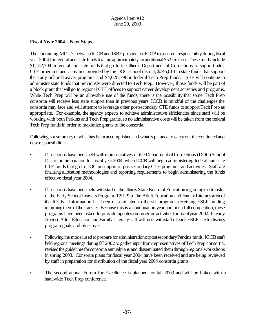## **Fiscal Year 2004 – Next Steps**

The continuing MOU's between ICCB and ISBE provide for ICCB to assume responsibility during fiscal year 2004 for federal and state funds totaling approximately an additional \$5.9 million. These funds include \$1,152,704 in federal and state funds that go to the Illinois Department of Corrections to support adult CTE programs and activities provided by the DOC school district, \$746,014 in state funds that support the Early School Leaver program, and \$4,028,796 in federal Tech Prep funds. ISBE will continue to administer state funds that previously were directed to Tech Prep. However, those funds will be part of a block grant that will go to regional CTE offices to support career development activities and programs. While Tech Prep will be an allowable use of the funds, there is the possibility that some Tech Prep consortia will receive less state support than in previous years. ICCB is mindful of the challenges the consortia may face and will attempt to leverage other postsecondary CTE funds to support TechPrep as appropriate. For example, the agency expects to achieve administrative efficiencies since staff will be working with both Perkins and Tech Prep grants, so no administrative costs will be taken from the federal Tech Prep funds in order to maximize grants to the consortia.

Following is a summary of what has been accomplished and what is planned to carry out the continued and new responsibilities:

- Discussions have been held with representatives of the Department of Corrections (DOC) School District in preparation for fiscal year 2004, when ICCB will begin administering federal and state CTE funds that go to DOC in support of postsecondary CTE programs and activities. Staff are finalizing allocation methodologies and reporting requirements to begin administering the funds effective fiscal year 2004.
- Discussions have been held with staff of the Illinois State Board of Education regarding the transfer ofthe Early School Leavers Program (ESLP) to the Adult Education and FamilyLiteracyarea of the ICCB. Information has been disseminated to the six programs receiving ESLP funding informing them of the transfer. Because this is a continuation year and not a full competition, these programs have been asked to provide updates on programactivitiesforfiscalyear 2004. In early August, Adult Education and Family Literacy staff will meet with staff of each ESLP site to discuss program goals and objectives.
- Following the model used to prepare for administration of postsecondary Perkins funds, ICCB staff held regional meetings during fall 2002 to gather input from representatives of Tech Prep consortia, revised the guidelines for consortia annual plans and disseminated them through regional workshops in spring 2003. Consortia plans forfiscal year 2004 have been received and are being reviewed by staff in preparation for distribution of the fiscal year 2004 consortia grants.
- The second annual Forum for Excellence is planned for fall 2003 and will be linked with a statewide Tech Prep conference.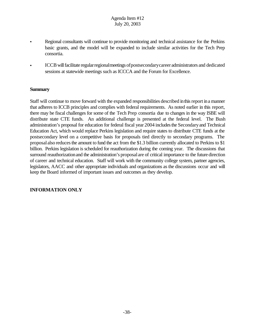## Agenda Item #12 July 20, 2003

- Regional consultants will continue to provide monitoring and technical assistance for the Perkins basic grants, and the model will be expanded to include similar activities for the Tech Prep consortia.
- ICCB will facilitate regular regional meetings of postsecondary career administrators and dedicated sessions at statewide meetings such as ICCCA and the Forum for Excellence.

#### **Summary**

Staff will continue to move forward with the expanded responsibilities described in this report in a manner that adheres to ICCB principles and complies with federal requirements. As noted earlier in this report, there may be fiscal challenges for some of the Tech Prep consortia due to changes in the way ISBE will distribute state CTE funds. An additional challenge is presented at the federal level. The Bush administration's proposal for education for federal fiscal year 2004 includes the Secondary and Technical Education Act, which would replace Perkins legislation and require states to distribute CTE funds at the postsecondary level on a competitive basis for proposals tied directly to secondary programs. The proposal also reducesthe amount to fund the act from the \$1.3 billion currently allocated to Perkins to \$1 billion. Perkins legislation is scheduled for reauthorization during the coming year.The discussions that surround reauthorization and the administration's proposal are of critical importance to the future direction of career and technical education. Staff will work with the community college system, partner agencies, legislators, AACC and other appropriate individuals and organizations as the discussions occur and will keep the Board informed of important issues and outcomes as they develop.

## **INFORMATION ONLY**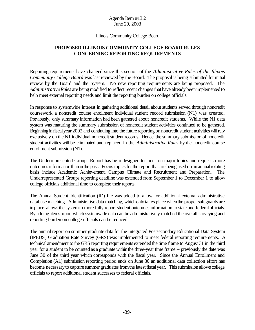#### Illinois Community College Board

## **PROPOSED ILLINOIS COMMUNITY COLLEGE BOARD RULES CONCERNING REPORTING REQUIREMENTS**

Reporting requirements have changed since this section of the *Administrative Rules of the Illinois Community College Board* was last reviewed by the Board. The proposal is being submitted for initial review by the Board and the System. No new reporting requirements are being proposed. The Administrative Rules are being modified to reflect recent changes that have already been implemented to help meet external reporting needs and limit the reporting burden on college officials.

In response to systemwide interest in gathering additional detail about students served through noncredit coursework a noncredit course enrollment individual student record submission (N1) was created. Previously, only summary information had been gathered about noncredit students. While the N1 data system was maturing the summary submission of noncredit student activities continued to be gathered. Beginning in fiscal year 2002 and continuing into the future reporting on noncredit student activities will rely exclusively on the N1 individual noncredit student records. Hence, the summary submission of noncredit student activities will be eliminated and replaced in the *Administrative Rules* by the noncredit course enrollment submission (N1).

The Underrepresented Groups Report has be redesigned to focus on major topics and requests more outcomesinformationthaninthe past. Focus topicsforthe report that are being used onanannualrotating basis include Academic Achievement, Campus Climate and Recruitment and Preparation. The Underrepresented Groups reporting deadline was extended from September 1 to December 1 to allow college officials additional time to complete their reports.

The Annual Student Identification (ID) file was added to allow for additional external administrative database matching. Administrative data matching, which only takes place when the proper safeguards are in place, allows the system to more fully report student outcomes information to state and federal officials. By adding items upon which systemwide data can be administratively matched the overall surveying and reporting burden on college officials can be reduced.

The annual report on summer graduate data for the Integrated Postsecondary Educational Data System (IPEDS) Graduation Rate Survey (GRS) was implemented to meet federal reporting requirements. A technicalamendment to the GRS reporting requirements extended the time frame to August 31 in the third year for a student to be counted as a graduate within the three-year time frame -- previously the date was June 30 of the third year which corresponds with the fiscal year. Since the Annual Enrollment and Completion (A1) submission reporting period ends on June 30 an additional data collection effort has become necessary to capture summer graduates from the latest fiscal year. This submission allows college officials to report additional student successes to federal officials.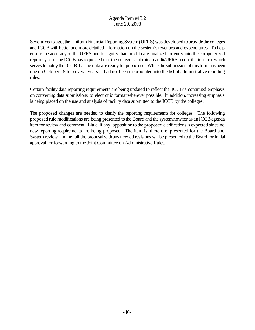Several years ago, the Uniform Financial Reporting System (UFRS) was developed to provide the colleges and ICCB with better and more detailed information on the system's revenues and expenditures. To help ensure the accuracy of the UFRS and to signify that the data are finalized for entry into the computerized report system, the ICCB has requested that the college's submit an audit/UFRS reconciliation form which serves to notify the ICCB that the data are ready for public use. While the submission of this form has been due on October 15 for several years, it had not been incorporated into the list of administrative reporting rules.

Certain facility data reporting requirements are being updated to reflect the ICCB's continued emphasis on converting data submissions to electronic format wherever possible. In addition, increasing emphasis is being placed on the use and analysis of facility data submitted to the ICCB by the colleges.

The proposed changes are needed to clarify the reporting requirements for colleges. The following proposed rule modifications are being presented to the Board and the system now for as an ICCB agenda item for review and comment. Little, if any, oppositionto the proposed clarifications is expected since no new reporting requirements are being proposed. The item is, therefore, presented for the Board and System review. In the fall the proposal with any needed revisions will be presented to the Board for initial approval for forwarding to the Joint Committee on Administrative Rules.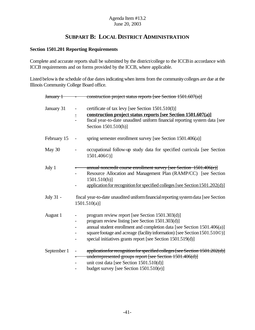# **SUBPART B: LOCAL DISTRICT ADMINISTRATION**

## **Section 1501.201 Reporting Requirements**

Complete and accurate reports shall be submitted by the district/college to the ICCB in accordance with ICCB requirements and on forms provided by the ICCB, where applicable.

Listed below is the schedule of due dates indicating when items from the community colleges are due at the Illinois Community College Board office.

| January 1   | construction project status reports [see Section 1501.607(a)]                                                                                                                                                                                                                                                                                           |
|-------------|---------------------------------------------------------------------------------------------------------------------------------------------------------------------------------------------------------------------------------------------------------------------------------------------------------------------------------------------------------|
| January 31  | certificate of tax levy [see Section 1501.510(I)]<br>$\overline{\phantom{0}}$<br>construction project status reports [see Section 1501.607(a)]<br>Ξ<br>fiscal year-to-date unaudited uniform financial reporting system data [see<br>Section 1501.510(h)]                                                                                               |
| February 15 | spring semester enrollment survey [see Section 1501.406(a)]<br>$\qquad \qquad \blacksquare$                                                                                                                                                                                                                                                             |
| May 30      | occupational follow-up study data for specified curricula [see Section<br>1501.406 <sup>(0)</sup> ]                                                                                                                                                                                                                                                     |
| July 1      | annual noncredit course enrollment survey [see Section 1501.406(e)]<br>Resource Allocation and Management Plan (RAMP/CC) [see Section<br>$1501.510(b)$ ]<br>application for recognition for specified colleges [see Section 1501.202(d)]                                                                                                                |
| July 31 -   | fiscal year-to-date unaudited uniform financial reporting system data [see Section<br>$1501.510(a)$ ]                                                                                                                                                                                                                                                   |
| August 1    | program review report [see Section 1501.303(d)]<br>$\overline{\phantom{0}}$<br>program review listing [see Section 1501.303(d)]<br>annual student enrollment and completion data [see Section 1501.406(a)]<br>square footage and acreage (facility information) [see Section 1501.5100)]<br>special initiatives grants report [see Section 1501.519(d)] |
| September 1 | application for recognition for specified colleges [see Section 1501.202(d)]<br>underrepresented groups report [see Section 1501.406(d)]<br>unit cost data [see Section 1501.510(d)]<br>budget survey [see Section $1501.510(e)$ ]                                                                                                                      |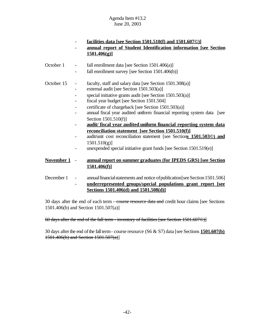|            |   | <u>facilities data [see Section 1501.510(f) and 1501.6070)]</u>                       |  |
|------------|---|---------------------------------------------------------------------------------------|--|
|            |   | annual report of Student Identification information [see Section                      |  |
|            |   | 1501.406(g)                                                                           |  |
|            |   |                                                                                       |  |
| October 1  |   | fall enrollment data [see Section $1501.406(a)$ ]                                     |  |
|            |   | fall enrollment survey [see Section 1501.406(b)]                                      |  |
| October 15 |   | faculty, staff and salary data [see Section 1501.308(a)]                              |  |
|            | - | external audit [see Section 1501.503(a)]                                              |  |
|            |   | special initiative grants audit [see Section $1501.503(a)$ ]                          |  |
|            |   | fiscal year budget [see Section 1501.504]                                             |  |
|            |   | certificate of chargeback [see Section 1501.503(a)]                                   |  |
|            |   | annual fiscal year audited uniform financial reporting system data [see               |  |
|            |   | Section 1501.510(f)]                                                                  |  |
|            |   | audit/fiscal year audited uniform financial reporting system data                     |  |
|            |   | <b>reconciliation statement</b> [see Section 1501.510(f)]                             |  |
|            |   | audit/unit cost reconciliation statement [see Sections 1501.5030) and                 |  |
|            |   | 1501.510(g)                                                                           |  |
|            |   | unexpended special initiative grant funds [see Section 1501.519(e)]                   |  |
| November 1 |   | annual report on summer graduates (for IPEDS GRS) [see Section<br><u>1501.406(f)]</u> |  |

December 1 - annual financial statements and notice of publication [see Section 1501.506] - **underrepresented groups/special populations grant report [see Sections 1501.406(d) and 1501.508(d)]**

30 days after the end of each term - course resource data and credit hour claims [see Sections 1501.406(b) and Section 1501.507(a)]

60 days after the end of the fall term - inventory of facilities [see Section 1501.607©)]

30 days after the end of the fall term - course resource (S6 & S7) data [see Sections 1501.607(b) 1501.406(b) and Section 1501.507(a)]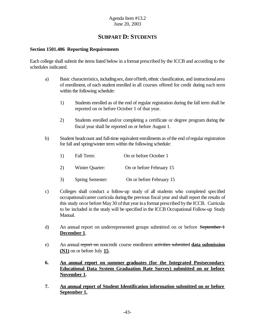# **SUBPART D: STUDENTS**

## **Section 1501.406 Reporting Requirements**

Each college shall submit the items listed below in a format prescribed by the ICCB and according to the schedules indicated.

- a) Basic characteristics, includingsex, dateofbirth, ethnic classification, and instructionalarea of enrollment, of each student enrolled in all courses offered for credit during each term within the following schedule:
	- 1) Students enrolled as of the end of regular registration during the fall term shall be reported on or before October 1 of that year.
	- 2) Students enrolled and/or completing a certificate or degree program during the fiscal year shall be reported on or before August 1.
- b) Student headcount and full-time equivalent enrollments as of the end of regular registration for fall and spring/winter term within the following schedule:

| 1)  | Fall Term:      | On or before October 1   |
|-----|-----------------|--------------------------|
| (2) | Winter Quarter: | On or before February 15 |

- 3) Spring Semester: On or before February 15
- c) Colleges shall conduct a follow-up study of all students who completed specified occupational/career curricula during the previous fiscal year and shall report the results of this study onor before May30 ofthat yearina format prescribed bythe ICCB. Curricula to be included in the study will be specified in the ICCB Occupational Follow-up Study Manual.
- d) An annual report on underrepresented groups submitted on or before September 1 **December 1**.
- e) An annual report on noncredit course enrollment activities submitted **data submission (N1)** on or before July **15**.
- **6. An annual report on summer graduates (for the Integrated Postsecondary Educational Data System Graduation Rate Survey) submitted on or before November 1.**
- **7. An annual report of Student Identification information submitted on or before September 1.**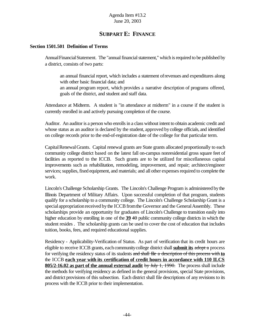# **SUBPART E: FINANCE**

#### **Section 1501.501 Definition of Terms**

AnnualFinancialStatement. The "annual financial statement," which is required to be published by a district, consists of two parts:

an annual financial report, which includes a statement ofrevenues and expenditures along with other basic financial data; and

an annual program report, which provides a narrative description of programs offered, goals of the district, and student and staff data.

Attendance at Midterm. A student is "in attendance at midterm" in a course if the student is currently enrolled in and actively pursuing completion of the course.

Auditor. An auditor is a person who enrolls in a class without intent to obtain academic credit and whose status as an auditor is declared by the student, approved by college officials, and identified on college records prior to the end-of-registration date of the college for that particular term.

Capital Renewal Grants. Capital renewal grants are State grants allocated proportionally to each community college district based on the latest fall on-campus nonresidential gross square feet of facilities as reported to the ICCB. Such grants are to be utilized for miscellaneous capital improvements such as rehabilitation, remodeling, improvement, and repair; architect/engineer services; supplies, fixed equipment, and materials; and all other expenses required to complete the work.

Lincoln's Challenge Scholarship Grants. The Lincoln's Challenge Program is administered bythe Illinois Department of Military Affairs. Upon successful completion of that program, students qualify for a scholarship to a community college. The Lincoln's Challenge Scholarship Grant is a special appropriation received by the ICCB from the Governor and the General Assembly. These scholarships provide an opportunity for graduates of Lincoln's Challenge to transition easily into higher education by enrolling in one of the **39** 40 public community college districts in which the student resides . The scholarship grants can be used to cover the cost of education that includes tuition, books, fees, and required educational supplies.

Residency - Applicability-Verification of Status. As part of verification that its credit hours are eligible to receive ICCB grants, each community college district shall **submit its** adopt a process for verifying the residency status of its students and shall file a description of this process with **to** the ICCB **each year with its certification of credit hours in accordance with 110 ILCS 805/2-16.02 as part of the annual external audit** by July 1, 1990. The process shall include the methods for verifying residency as defined in the general provisions, special State provisions, and district provisions of this subsection. Each district shall file descriptions of any revisions to its process with the ICCB prior to their implementation.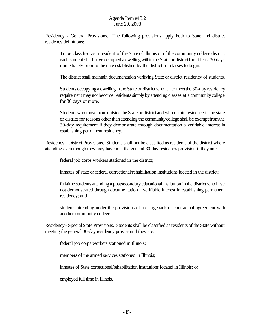Residency - General Provisions. The following provisions apply both to State and district residency definitions:

To be classified as a resident of the State of Illinois or of the community college district, each student shall have occupied a dwelling within the State or district for at least 30 days immediately prior to the date established by the district for classes to begin.

The district shall maintain documentation verifying State or district residency of students.

Students occupying a dwelling in the State or district who fail to meet the 30-day residency requirement maynot become residentssimply byattending classes at a communitycollege for 30 days or more.

Students who move fromoutside the State or district and who obtain residence in the state or district for reasons other than attending the community college shall be exempt from the 30-day requirement if they demonstrate through documentation a verifiable interest in establishing permanent residency.

Residency - District Provisions. Students shall not be classified as residents of the district where attending even though they may have met the general 30-day residency provision if they are:

federal job corps workers stationed in the district;

inmates of state or federal correctional/rehabilitation institutions located in the district;

full-time students attending a postsecondaryeducational institution in the district who have not demonstrated through documentation a verifiable interest in establishing permanent residency; and

students attending under the provisions of a chargeback or contractual agreement with another community college.

Residency- SpecialState Provisions. Students shall be classified as residents of the State without meeting the general 30-day residency provision if they are:

federal job corps workers stationed in Illinois;

members of the armed services stationed in Illinois;

inmates of State correctional/rehabilitation institutions located in Illinois; or

employed full time in Illinois.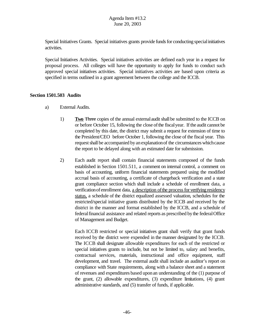Special Initiatives Grants. Special initiatives grants provide funds for conducting special initiatives activities.

Special Initiatives Activities. Special initiatives activities are defined each year in a request for proposal process. All colleges will have the opportunity to apply for funds to conduct such approved special initiatives activities. Special initiatives activities are based upon criteria as specified in terms outlined in a grant agreement between the college and the ICCB.

## **Section 1501.503 Audits**

- a) External Audits.
	- 1) **Two** Three copies of the annual externalaudit shall be submitted to the ICCB on or before October 15, following the close ofthe fiscalyear. If the audit cannot be completed by this date, the district may submit a request for extension of time to the President/CEO before October 1, following the close of the fiscal year. This request shall be accompanied by an explanation of the circumstances which cause the report to be delayed along with an estimated date for submission.
	- 2) Each audit report shall contain financial statements composed of the funds established in Section 1501.511, a comment on internal control, a comment on basis of accounting, uniform financial statements prepared using the modified accrual basis of accounting, a certificate of chargeback verification and a state grant compliance section which shall include a schedule of enrollment data, a verification of enrollment data, a description of the process for verifying residency status, a schedule of the district equalized assessed valuation, schedules for the restricted/special initiative grants distributed by the ICCB and received by the district in the manner and format established by the ICCB, and a schedule of federalfinancial assistance and related reports as prescribed bythe federalOffice of Management and Budget.

Each ICCB restricted or special initiatives grant shall verify that grant funds received by the district were expended in the manner designated by the ICCB. The ICCB shall designate allowable expenditures for each of the restricted or special initiatives grants to include, but not be limited to, salary and benefits, contractual services, materials, instructional and office equipment, staff development, and travel. The external audit shall include an auditor's report on compliance with State requirements, along with a balance sheet and a statement of revenues and expenditures based uponan understanding of the (1) purpose of the grant, (2) allowable expenditures, (3) expenditure limitations, (4) grant administrative standards, and (5) transfer of funds, if applicable.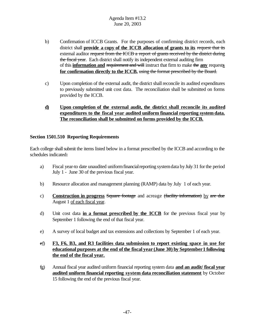- b) Confirmation of ICCB Grants. For the purposes of confirming district records, each district shall **provide a copy of the ICCB allocation of grants to its** request that its external auditor request from the ICCB a report of grants received by the district during the fiscal year. Each district shall notify its independent external auditing firm of this **information and** requirement and will instruct that firm to make the **any** request**s for confirmation directly to the ICCB.** using the format prescribed by the Board.
- c) Upon completion of the external audit, the district shallreconcile its audited expenditures to previously submitted unit cost data. The reconciliation shall be submitted on forms provided by the ICCB.
- **d) Upon completion of the external audit, the district shall reconcile its audited expenditures to the fiscal year audited uniform financial reporting system data. The reconciliation shall be submitted on forms provided by the ICCB.**

## **Section 1501.510 Reporting Requirements**

Each college shall submit the items listed below in a format prescribed by the ICCB and according to the schedules indicated**:**

- a) Fiscal year-to date unaudited uniformfinancialreporting systemdata byJuly 31 forthe period July 1 - June 30 of the previous fiscal year.
- b) Resource allocation and management planning (RAMP) data by July 1 of each year.
- c) **Construction in progress** Square footage and acreage (facility information) by are due August 1 of each fiscal year.
- d) Unit cost data **in a format prescribed by the ICCB** for the previous fiscal year by September 1 following the end of that fiscal year.
- e) A survey of local budget and tax extensions and collections by September 1 of each year.
- ef) **F3, F6, B3, and R3 facilities data submission to report existing space in use for educational purposes at the end of the fiscal year (June 30) by September1 following the end of the fiscal year.**
- fg) Annual fiscal year audited uniform financial reporting system data **and an audit/ fiscal year audited uniform financial reporting system data reconciliation statement** by October 15 following the end of the previous fiscal year.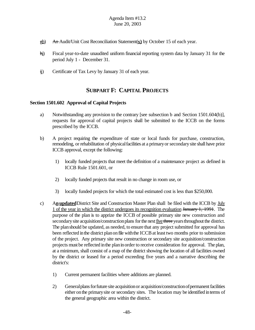- gh) An Audit/Unit Cost Reconciliation Statement(**s)** by October 15 of each year.
- hi) Fiscal year-to-date unaudited uniform financial reporting system data by January 31 for the period July 1 - December 31.
- ij) Certificate of Tax Levy by January 31 of each year.

# **SUBPART F: CAPITAL PROJECTS**

## **Section 1501.602 Approval of Capital Projects**

- a) Notwithstanding any provision to the contrary [see subsection b and Section 1501.604(b)], requests for approval of capital projects shall be submitted to the ICCB on the forms prescribed by the ICCB.
- b) A project requiring the expenditure of state or local funds for purchase, construction, remodeling, or rehabilitation of physical facilities at a primary or secondary site shall have prior ICCB approval, except the following:
	- 1) locally funded projects that meet the definition of a maintenance project as defined in ICCB Rule 1501.601, or
	- 2) locally funded projects that result in no change in room use, or
	- 3) locally funded projects for which the total estimated cost is less than \$250,000.
- c) An **updated** District Site and Construction Master Plan shall be filed with the ICCB by July 1 of the year in which the district undergoes its recognition evaluation January 1, 1991. The purpose of the plan is to apprize the ICCB of possible primary site new construction and secondary site acquisition/construction plans for the next five three years throughout the district. The planshould be updated, as needed, to ensure that any project submitted for approval has been reflected in the district plan on file with the ICCB at least two months prior to submission of the project. Any primary site new construction or secondary site acquisition/construction projects must be reflected inthe planinorder to receive consideration for approval. The plan, at a minimum, shall consist of a map of the district showing the location of all facilities owned by the district or leased for a period exceeding five years and a narrative describing the district's:
	- 1) Current permanent facilities where additions are planned.
	- 2) General plans for future site acquisition or acquisition/construction of permanent facilities either onthe primarysite or secondary sites. The location may be identified interms of the general geographic area within the district.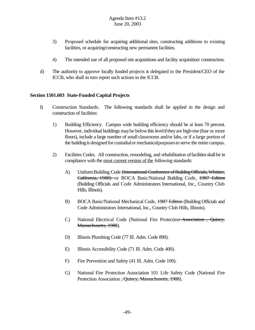- 3) Proposed schedule for acquiring additional sites, constructing additions to existing facilities, or acquiring/constructing new permanent facilities.
- 4) The intended use of all proposed site acquisitions and facility acquisition/ construction.
- d) The authority to approve locally funded projects is delegated to the President/CEO of the ICCB, who shall in turn report such actions to the ICCB.

## **Section 1501.603 State-Funded Capital Projects**

- f) Construction Standards. The following standards shall be applied in the design and construction of facilities:
	- 1) Building Efficiency. Campus wide building efficiency should be at least 70 percent. However, individual buildings may be below this level if they are high-rise (four or more floors), include a large number of small classrooms and/or labs, or if a large portion of the building is designed for custodialor mechanicalpurposesto serve the entire campus.
	- 2) Facilities Codes. All construction, remodeling, and rehabilitation offacilitiesshall be in compliance with the most current version of the following standards:
		- A) Uniform Building Code <del>(International Conference of Building Officials, Whittier,</del> California, 1988) or BOCA Basic/National Building Code, 1987 Edition (Building Officials and Code Administrators International, Inc., Country Club Hills, Illinois).
		- B) BOCA Basic/National Mechanical Code, 1987 Edition (Building Officials and Code Administrators International, Inc., Country Club Hills, Illinois).
		- C) National Electrical Code (National Fire Protection Association , Quincy, Massachusetts, 1988).
		- D) Illinois Plumbing Code (77 Ill. Adm. Code 890).
		- E) Illinois Accessibility Code (71 Ill. Adm. Code 400).
		- F) Fire Prevention and Safety (41 Ill. Adm. Code 100).
		- G) National Fire Protection Association 101 Life Safety Code (National Fire Protection Association <del>, Quincy, Massachusetts, 1988</del>).